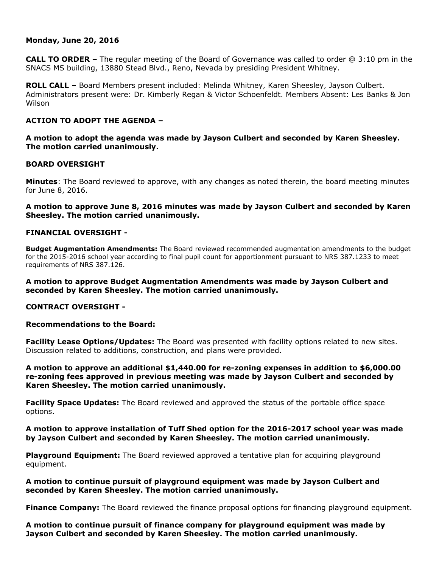## **Monday, June 20, 2016**

**CALL TO ORDER –** The regular meeting of the Board of Governance was called to order @ 3:10 pm in the SNACS MS building, 13880 Stead Blvd., Reno, Nevada by presiding President Whitney.

**ROLL CALL –** Board Members present included: Melinda Whitney, Karen Sheesley, Jayson Culbert. Administrators present were: Dr. Kimberly Regan & Victor Schoenfeldt. Members Absent: Les Banks & Jon Wilson

# **ACTION TO ADOPT THE AGENDA –**

**A motion to adopt the agenda was made by Jayson Culbert and seconded by Karen Sheesley. The motion carried unanimously.** 

## **BOARD OVERSIGHT**

**Minutes**: The Board reviewed to approve, with any changes as noted therein, the board meeting minutes for June 8, 2016.

## **A motion to approve June 8, 2016 minutes was made by Jayson Culbert and seconded by Karen Sheesley. The motion carried unanimously.**

## **FINANCIAL OVERSIGHT -**

**Budget Augmentation Amendments:** The Board reviewed recommended augmentation amendments to the budget for the 2015-2016 school year according to final pupil count for apportionment pursuant to NRS 387.1233 to meet requirements of NRS 387.126.

**A motion to approve Budget Augmentation Amendments was made by Jayson Culbert and seconded by Karen Sheesley. The motion carried unanimously.** 

## **CONTRACT OVERSIGHT -**

## **Recommendations to the Board:**

**Facility Lease Options/Updates:** The Board was presented with facility options related to new sites. Discussion related to additions, construction, and plans were provided.

**A motion to approve an additional \$1,440.00 for re-zoning expenses in addition to \$6,000.00 re-zoning fees approved in previous meeting was made by Jayson Culbert and seconded by Karen Sheesley. The motion carried unanimously.** 

**Facility Space Updates:** The Board reviewed and approved the status of the portable office space options.

**A motion to approve installation of Tuff Shed option for the 2016-2017 school year was made by Jayson Culbert and seconded by Karen Sheesley. The motion carried unanimously.** 

**Playground Equipment:** The Board reviewed approved a tentative plan for acquiring playground equipment.

**A motion to continue pursuit of playground equipment was made by Jayson Culbert and seconded by Karen Sheesley. The motion carried unanimously.** 

**Finance Company:** The Board reviewed the finance proposal options for financing playground equipment.

**A motion to continue pursuit of finance company for playground equipment was made by Jayson Culbert and seconded by Karen Sheesley. The motion carried unanimously.**